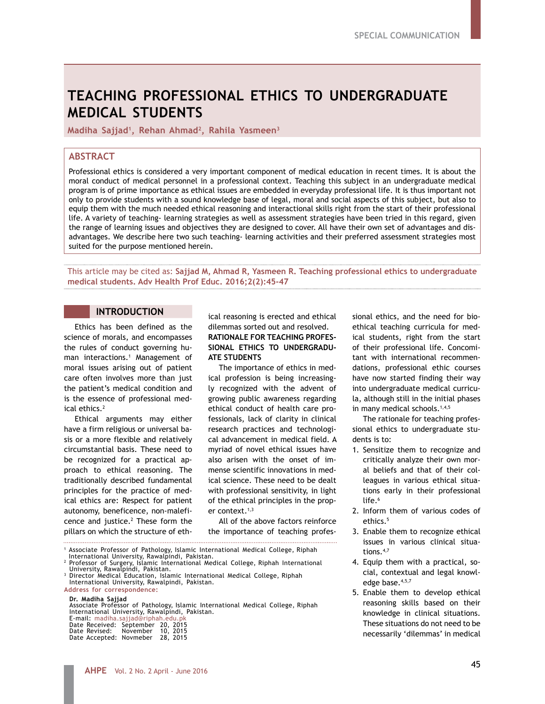# **TEACHING PROFESSIONAL ETHICS TO UNDERGRADUATE MEDICAL STUDENTS**

**Madiha Sajjad1, Rehan Ahmad2, Rahila Yasmeen3**

# **ABSTRACT**

Professional ethics is considered a very important component of medical education in recent times. It is about the moral conduct of medical personnel in a professional context. Teaching this subject in an undergraduate medical program is of prime importance as ethical issues are embedded in everyday professional life. It is thus important not only to provide students with a sound knowledge base of legal, moral and social aspects of this subject, but also to equip them with the much needed ethical reasoning and interactional skills right from the start of their professional life. A variety of teaching- learning strategies as well as assessment strategies have been tried in this regard, given the range of learning issues and objectives they are designed to cover. All have their own set of advantages and disadvantages. We describe here two such teaching- learning activities and their preferred assessment strategies most suited for the purpose mentioned herein.

This article may be cited as: **Sajjad M, Ahmad R, Yasmeen R. Teaching professional ethics to undergraduate medical students. Adv Health Prof Educ. 2016;2(2):45-47**

## **INTRODUCTION**

Ethics has been defined as the science of morals, and encompasses the rules of conduct governing human interactions.1 Management of moral issues arising out of patient care often involves more than just the patient's medical condition and is the essence of professional medical ethics.2

Ethical arguments may either have a firm religious or universal basis or a more flexible and relatively circumstantial basis. These need to be recognized for a practical approach to ethical reasoning. The traditionally described fundamental principles for the practice of medical ethics are: Respect for patient autonomy, beneficence, non-maleficence and justice. $2$  These form the pillars on which the structure of eth-

ical reasoning is erected and ethical dilemmas sorted out and resolved. **RATIONALE FOR TEACHING PROFES-SIONAL ETHICS TO UNDERGRADU-ATE STUDENTS** 

The importance of ethics in medical profession is being increasingly recognized with the advent of growing public awareness regarding ethical conduct of health care professionals, lack of clarity in clinical research practices and technological advancement in medical field. A myriad of novel ethical issues have also arisen with the onset of immense scientific innovations in medical science. These need to be dealt with professional sensitivity, in light of the ethical principles in the proper context.<sup>1,3</sup>

All of the above factors reinforce the importance of teaching profes-

<sup>1</sup> Associate Professor of Pathology, Islamic International Medical College, Riphah

Professor of Surgery, Islamic International Medical College, Riphah International

**Address for correspondence: Dr. Madiha Sajjad** Associate Professor of Pathology, Islamic International Medical College, Riphah International University, Rawalpindi, Pakistan. E-mail: madiha.sajjad@riphah.edu.pk Date Received: September 20, 2015 Date Revised: November 10, 2015

Date Accepted: Novmeber 28, 2015

sional ethics, and the need for bioethical teaching curricula for medical students, right from the start of their professional life. Concomitant with international recommendations, professional ethic courses have now started finding their way into undergraduate medical curricula, although still in the initial phases in many medical schools. $1,4,5$ 

The rationale for teaching professional ethics to undergraduate students is to:

- 1. Sensitize them to recognize and critically analyze their own moral beliefs and that of their colleagues in various ethical situations early in their professional life.<sup>6</sup>
- 2. Inform them of various codes of  $e^{thirc}$ <sup>5</sup>
- 3. Enable them to recognize ethical issues in various clinical situations.4,7
- 4. Equip them with a practical, social, contextual and legal knowledge base.<sup>4,5,7</sup>
- 5. Enable them to develop ethical reasoning skills based on their knowledge in clinical situations. These situations do not need to be necessarily 'dilemmas' in medical

International University, Rawalpindi, Pakistan. <sup>2</sup>

Birtersity, Ramalpindi, Education, Islamic International Medical College, Riphah International University, Rawalpindi, Pakistan.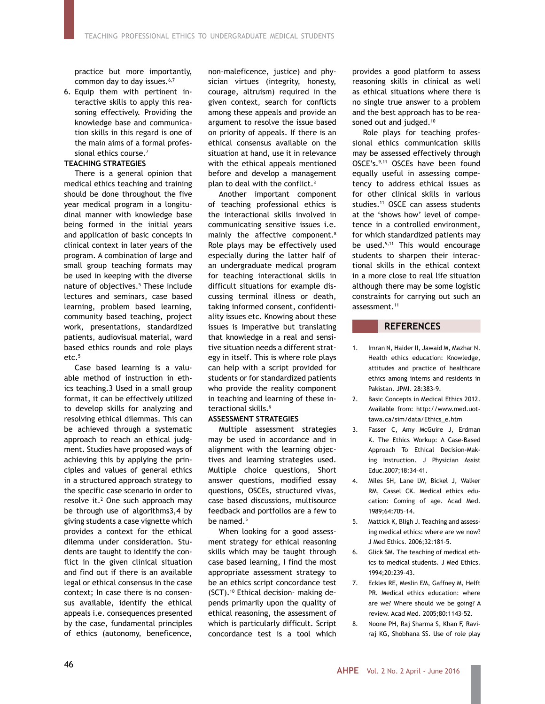practice but more importantly, common day to day issues.<sup>6,7</sup>

6. Equip them with pertinent interactive skills to apply this reasoning effectively. Providing the knowledge base and communication skills in this regard is one of the main aims of a formal professional ethics course.<sup>7</sup>

#### **TEACHING STRATEGIES**

There is a general opinion that medical ethics teaching and training should be done throughout the five year medical program in a longitudinal manner with knowledge base being formed in the initial years and application of basic concepts in clinical context in later years of the program. A combination of large and small group teaching formats may be used in keeping with the diverse nature of objectives.<sup>5</sup> These include lectures and seminars, case based learning, problem based learning, community based teaching, project work, presentations, standardized patients, audiovisual material, ward based ethics rounds and role plays etc.5

Case based learning is a valuable method of instruction in ethics teaching.3 Used in a small group format, it can be effectively utilized to develop skills for analyzing and resolving ethical dilemmas. This can be achieved through a systematic approach to reach an ethical judgment. Studies have proposed ways of achieving this by applying the principles and values of general ethics in a structured approach strategy to the specific case scenario in order to resolve it.<sup>2</sup> One such approach may be through use of algorithms3,4 by giving students a case vignette which provides a context for the ethical dilemma under consideration. Students are taught to identify the conflict in the given clinical situation and find out if there is an available legal or ethical consensus in the case context; In case there is no consensus available, identify the ethical appeals i.e. consequences presented by the case, fundamental principles of ethics (autonomy, beneficence,

non-maleficence, justice) and physician virtues (integrity, honesty, courage, altruism) required in the given context, search for conflicts among these appeals and provide an argument to resolve the issue based on priority of appeals. If there is an ethical consensus available on the situation at hand, use it in relevance with the ethical appeals mentioned before and develop a management plan to deal with the conflict.<sup>3</sup>

Another important component of teaching professional ethics is the interactional skills involved in communicating sensitive issues i.e. mainly the affective component.8 Role plays may be effectively used especially during the latter half of an undergraduate medical program for teaching interactional skills in difficult situations for example discussing terminal illness or death, taking informed consent, confidentiality issues etc. Knowing about these issues is imperative but translating that knowledge in a real and sensitive situation needs a different strategy in itself. This is where role plays can help with a script provided for students or for standardized patients who provide the reality component in teaching and learning of these interactional skills.9

### **ASSESSMENT STRATEGIES**

Multiple assessment strategies may be used in accordance and in alignment with the learning objectives and learning strategies used. Multiple choice questions, Short answer questions, modified essay questions, OSCEs, structured vivas, case based discussions, multisource feedback and portfolios are a few to be named.<sup>5</sup>

When looking for a good assessment strategy for ethical reasoning skills which may be taught through case based learning, I find the most appropriate assessment strategy to be an ethics script concordance test (SCT).10 Ethical decision- making depends primarily upon the quality of ethical reasoning, the assessment of which is particularly difficult. Script concordance test is a tool which

provides a good platform to assess reasoning skills in clinical as well as ethical situations where there is no single true answer to a problem and the best approach has to be reasoned out and judged.<sup>10</sup>

Role plays for teaching professional ethics communication skills may be assessed effectively through OSCE's.9,11 OSCEs have been found equally useful in assessing competency to address ethical issues as for other clinical skills in various studies.<sup>11</sup> OSCE can assess students at the 'shows how' level of competence in a controlled environment, for which standardized patients may be used.<sup>9,11</sup> This would encourage students to sharpen their interactional skills in the ethical context in a more close to real life situation although there may be some logistic constraints for carrying out such an assessment.<sup>11</sup>

#### **REFERENCES**

- 1. Imran N, Haider II, Jawaid M, Mazhar N. Health ethics education: Knowledge, attitudes and practice of healthcare ethics among interns and residents in Pakistan. JPMI. 28:383–9.
- 2. Basic Concepts in Medical Ethics 2012. Available from: http://www.med.uottawa.ca/sim/data/Ethics\_e.htm
- 3. Fasser C, Amy McGuire J, Erdman K. The Ethics Workup: A Case-Based Approach To Ethical Decision-Making Instruction. J Physician Assist Educ.2007;18:34–41.
- 4. Miles SH, Lane LW, Bickel J, Walker RM, Cassel CK. Medical ethics education: Coming of age. Acad Med. 1989;64:705–14.
- 5. Mattick K, Bligh J. Teaching and assessing medical ethics: where are we now? J Med Ethics. 2006;32:181–5.
- 6. Glick SM. The teaching of medical ethics to medical students. J Med Ethics. 1994;20:239–43.
- 7. Eckles RE, Meslin EM, Gaffney M, Helft PR. Medical ethics education: where are we? Where should we be going? A review. Acad Med. 2005;80:1143–52.
- 8. Noone PH, Raj Sharma S, Khan F, Raviraj KG, Shobhana SS. Use of role play